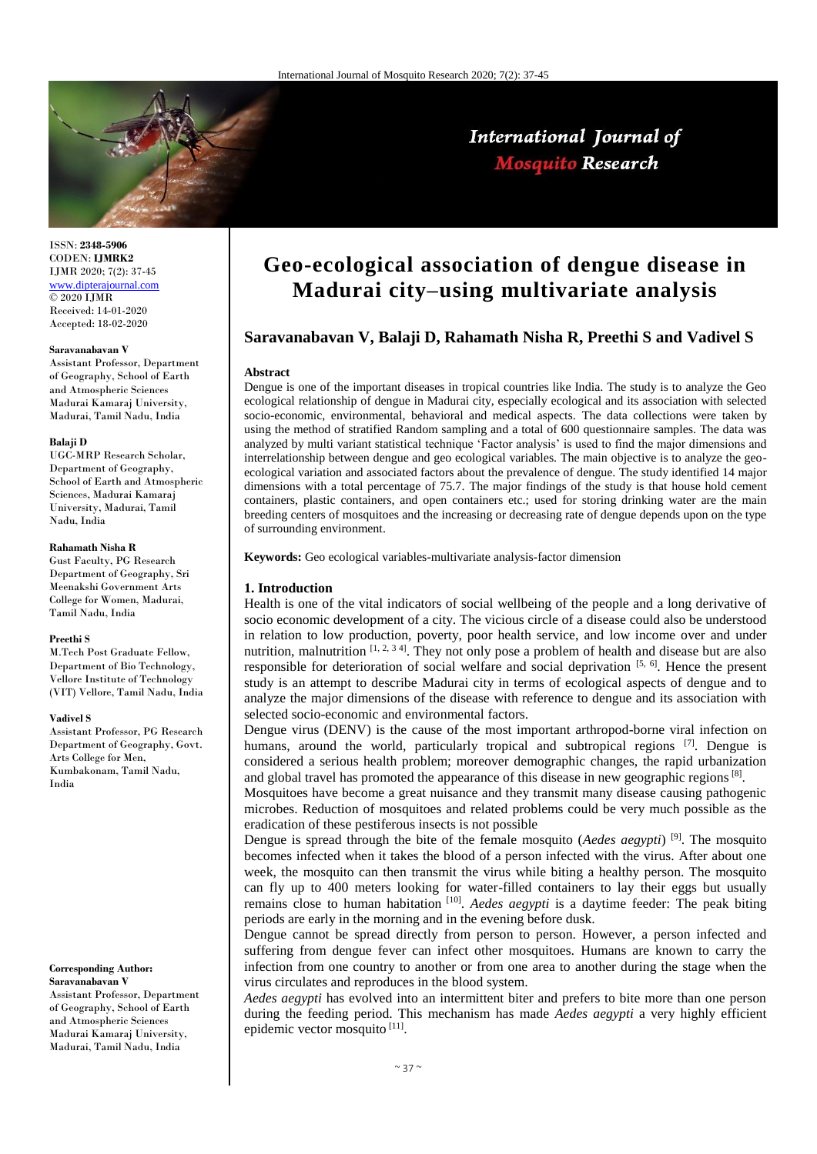

ISSN: **2348-5906** CODEN: **IJMRK2** IJMR 2020; 7(2): 37-45 [www.dipterajournal.com](http://www.dipterajournal.com/)  $\overline{)$  2020 LIMR Received: 14-01-2020 Accepted: 18-02-2020

#### **Saravanabavan V**

Assistant Professor, Department of Geography, School of Earth and Atmospheric Sciences Madurai Kamaraj University, Madurai, Tamil Nadu, India

#### **Balaji D**

UGC-MRP Research Scholar, Department of Geography, School of Earth and Atmospheric Sciences, Madurai Kamaraj University, Madurai, Tamil Nadu, India

## **Rahamath Nisha R**

Gust Faculty, PG Research Department of Geography, Sri Meenakshi Government Arts College for Women, Madurai, Tamil Nadu, India

#### **Preethi S**

M.Tech Post Graduate Fellow, Department of Bio Technology, Vellore Institute of Technology (VIT) Vellore, Tamil Nadu, India

#### **Vadivel S**

Assistant Professor, PG Research Department of Geography, Govt. Arts College for Men, Kumbakonam, Tamil Nadu, India

#### **Corresponding Author: Saravanabavan V**

Assistant Professor, Department of Geography, School of Earth and Atmospheric Sciences Madurai Kamaraj University, Madurai, Tamil Nadu, India

# **Geo-ecological association of dengue disease in Madurai city–using multivariate analysis**

# **Saravanabavan V, Balaji D, Rahamath Nisha R, Preethi S and Vadivel S**

#### **Abstract**

Dengue is one of the important diseases in tropical countries like India. The study is to analyze the Geo ecological relationship of dengue in Madurai city, especially ecological and its association with selected socio-economic, environmental, behavioral and medical aspects. The data collections were taken by using the method of stratified Random sampling and a total of 600 questionnaire samples. The data was analyzed by multi variant statistical technique 'Factor analysis' is used to find the major dimensions and interrelationship between dengue and geo ecological variables. The main objective is to analyze the geoecological variation and associated factors about the prevalence of dengue. The study identified 14 major dimensions with a total percentage of 75.7. The major findings of the study is that house hold cement containers, plastic containers, and open containers etc.; used for storing drinking water are the main breeding centers of mosquitoes and the increasing or decreasing rate of dengue depends upon on the type of surrounding environment.

**Keywords:** Geo ecological variables-multivariate analysis-factor dimension

## **1. Introduction**

Health is one of the vital indicators of social wellbeing of the people and a long derivative of socio economic development of a city. The vicious circle of a disease could also be understood in relation to low production, poverty, poor health service, and low income over and under nutrition, malnutrition  $\left[1, 2, 3, 4\right]$ . They not only pose a problem of health and disease but are also responsible for deterioration of social welfare and social deprivation [5, 6]. Hence the present study is an attempt to describe Madurai city in terms of ecological aspects of dengue and to analyze the major dimensions of the disease with reference to dengue and its association with selected socio-economic and environmental factors.

Dengue virus (DENV) is the cause of the most important arthropod-borne viral infection on humans, around the world, particularly tropical and subtropical regions  $[7]$ . Dengue is considered a serious health problem; moreover demographic changes, the rapid urbanization and global travel has promoted the appearance of this disease in new geographic regions  $[8]$ .

Mosquitoes have become a great nuisance and they transmit many disease causing pathogenic microbes. Reduction of mosquitoes and related problems could be very much possible as the eradication of these pestiferous insects is not possible

Dengue is spread through the bite of the female mosquito (*Aedes aegypti*) [9]. The mosquito becomes infected when it takes the blood of a person infected with the virus. After about one week, the mosquito can then transmit the virus while biting a healthy person. The mosquito can fly up to 400 meters looking for water-filled containers to lay their eggs but usually remains close to human habitation <sup>[10]</sup>. *Aedes aegypti* is a daytime feeder: The peak biting periods are early in the morning and in the evening before dusk.

Dengue cannot be spread directly from person to person. However, a person infected and suffering from dengue fever can infect other mosquitoes. Humans are known to carry the infection from one country to another or from one area to another during the stage when the virus circulates and reproduces in the blood system.

*Aedes aegypti* has evolved into an intermittent biter and prefers to bite more than one person during the feeding period. This mechanism has made *Aedes aegypti* a very highly efficient epidemic vector mosquito [11].

# International Journal of **Mosquito Research**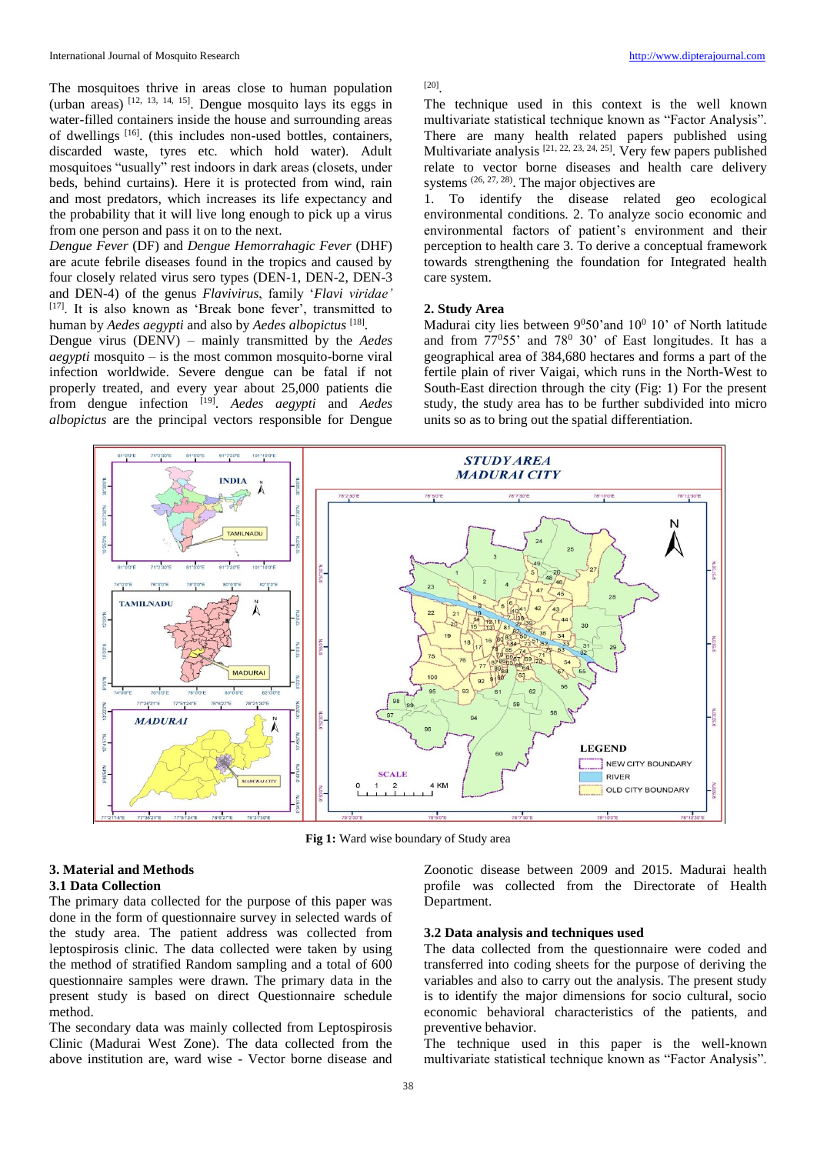The mosquitoes thrive in areas close to human population (urban areas)  $^{[12, 13, 14, 15]}$ . Dengue mosquito lays its eggs in water-filled containers inside the house and surrounding areas of dwellings [16]. (this includes non-used bottles, containers, discarded waste, tyres etc. which hold water). Adult mosquitoes "usually" rest indoors in dark areas (closets, under beds, behind curtains). Here it is protected from wind, rain and most predators, which increases its life expectancy and the probability that it will live long enough to pick up a virus from one person and pass it on to the next.

*Dengue Fever* (DF) and *Dengue Hemorrahagic Fever* (DHF) are acute febrile diseases found in the tropics and caused by four closely related virus sero types (DEN-1, DEN-2, DEN-3 and DEN-4) of the genus *Flavivirus*, family '*Flavi viridae'* [17]. It is also known as 'Break bone fever', transmitted to human by *Aedes aegypti* and also by *Aedes albopictus* [18] .

Dengue virus (DENV) – mainly transmitted by the *Aedes aegypti* mosquito – is the most common mosquito-borne viral infection worldwide. Severe dengue can be fatal if not properly treated, and every year about 25,000 patients die from dengue infection [19] . *Aedes aegypti* and *Aedes albopictus* are the principal vectors responsible for Dengue

## [20] .

The technique used in this context is the well known multivariate statistical technique known as "Factor Analysis". There are many health related papers published using Multivariate analysis [21, 22, 23, 24, 25]. Very few papers published relate to vector borne diseases and health care delivery systems  $(26, 27, 28)$ . The major objectives are

1. To identify the disease related geo ecological environmental conditions. 2. To analyze socio economic and environmental factors of patient's environment and their perception to health care 3. To derive a conceptual framework towards strengthening the foundation for Integrated health care system.

## **2. Study Area**

Madurai city lies between  $9^050'$  and  $10^010'$  of North latitude and from  $77^{\circ}55'$  and  $78^{\circ}$  30' of East longitudes. It has a geographical area of 384,680 hectares and forms a part of the fertile plain of river Vaigai, which runs in the North-West to South-East direction through the city (Fig: 1) For the present study, the study area has to be further subdivided into micro units so as to bring out the spatial differentiation.



**Fig 1:** Ward wise boundary of Study area

## **3. Material and Methods 3.1 Data Collection**

The primary data collected for the purpose of this paper was done in the form of questionnaire survey in selected wards of the study area. The patient address was collected from leptospirosis clinic. The data collected were taken by using the method of stratified Random sampling and a total of 600 questionnaire samples were drawn. The primary data in the present study is based on direct Questionnaire schedule method.

The secondary data was mainly collected from Leptospirosis Clinic (Madurai West Zone). The data collected from the above institution are, ward wise - Vector borne disease and

Zoonotic disease between 2009 and 2015. Madurai health profile was collected from the Directorate of Health Department.

## **3.2 Data analysis and techniques used**

The data collected from the questionnaire were coded and transferred into coding sheets for the purpose of deriving the variables and also to carry out the analysis. The present study is to identify the major dimensions for socio cultural, socio economic behavioral characteristics of the patients, and preventive behavior.

The technique used in this paper is the well-known multivariate statistical technique known as "Factor Analysis".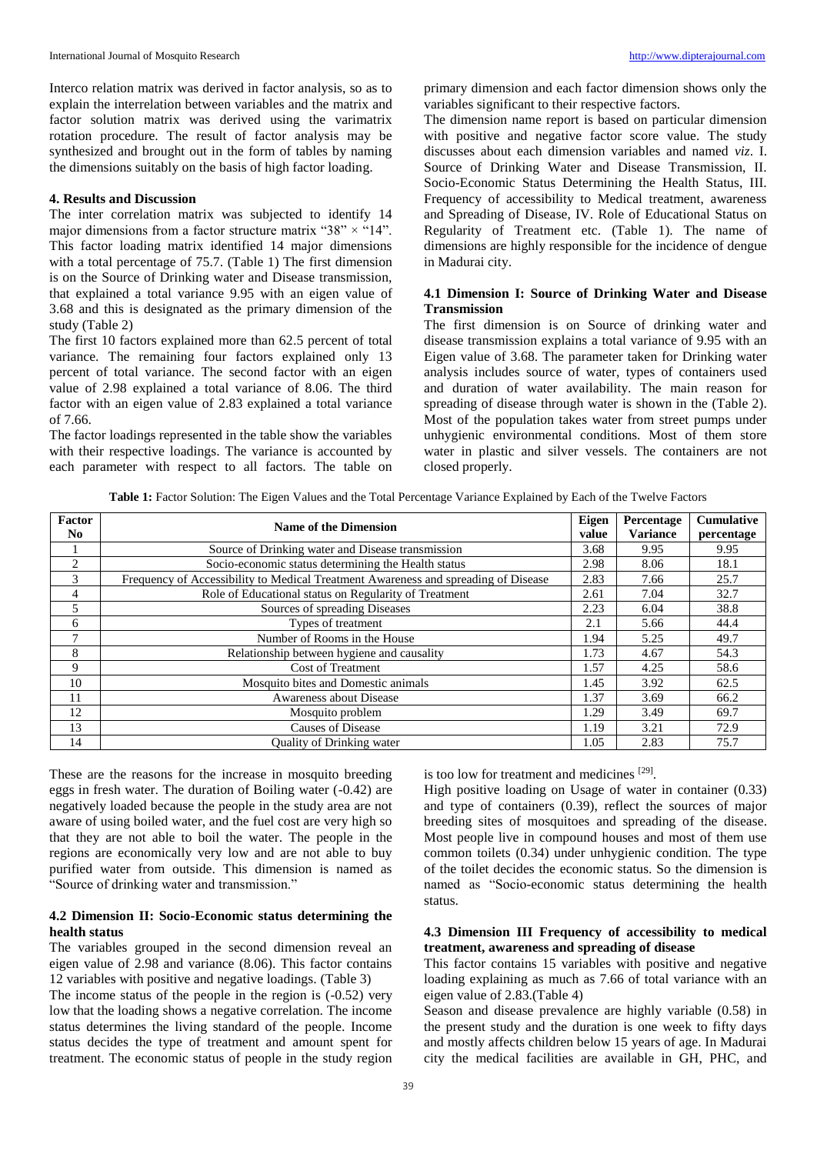Interco relation matrix was derived in factor analysis, so as to explain the interrelation between variables and the matrix and factor solution matrix was derived using the varimatrix rotation procedure. The result of factor analysis may be synthesized and brought out in the form of tables by naming the dimensions suitably on the basis of high factor loading.

## **4. Results and Discussion**

The inter correlation matrix was subjected to identify 14 major dimensions from a factor structure matrix " $38" \times$  "14". This factor loading matrix identified 14 major dimensions with a total percentage of 75.7. (Table 1) The first dimension is on the Source of Drinking water and Disease transmission, that explained a total variance 9.95 with an eigen value of 3.68 and this is designated as the primary dimension of the study (Table 2)

The first 10 factors explained more than 62.5 percent of total variance. The remaining four factors explained only 13 percent of total variance. The second factor with an eigen value of 2.98 explained a total variance of 8.06. The third factor with an eigen value of 2.83 explained a total variance of 7.66.

The factor loadings represented in the table show the variables with their respective loadings. The variance is accounted by each parameter with respect to all factors. The table on primary dimension and each factor dimension shows only the variables significant to their respective factors.

The dimension name report is based on particular dimension with positive and negative factor score value. The study discusses about each dimension variables and named *viz*. I. Source of Drinking Water and Disease Transmission, II. Socio-Economic Status Determining the Health Status, III. Frequency of accessibility to Medical treatment, awareness and Spreading of Disease, IV. Role of Educational Status on Regularity of Treatment etc. (Table 1). The name of dimensions are highly responsible for the incidence of dengue in Madurai city.

# **4.1 Dimension I: Source of Drinking Water and Disease Transmission**

The first dimension is on Source of drinking water and disease transmission explains a total variance of 9.95 with an Eigen value of 3.68. The parameter taken for Drinking water analysis includes source of water, types of containers used and duration of water availability. The main reason for spreading of disease through water is shown in the (Table 2). Most of the population takes water from street pumps under unhygienic environmental conditions. Most of them store water in plastic and silver vessels. The containers are not closed properly.

**Table 1:** Factor Solution: The Eigen Values and the Total Percentage Variance Explained by Each of the Twelve Factors

| Factor<br>No.  | Name of the Dimension                                                              | Eigen<br>value | Percentage<br><b>Variance</b> | <b>Cumulative</b><br>percentage |
|----------------|------------------------------------------------------------------------------------|----------------|-------------------------------|---------------------------------|
|                | Source of Drinking water and Disease transmission                                  | 3.68           | 9.95                          | 9.95                            |
| $\overline{c}$ | Socio-economic status determining the Health status                                | 2.98           | 8.06                          | 18.1                            |
| 3              | Frequency of Accessibility to Medical Treatment Awareness and spreading of Disease | 2.83           | 7.66                          | 25.7                            |
| 4              | Role of Educational status on Regularity of Treatment                              | 2.61           | 7.04                          | 32.7                            |
| 5              | Sources of spreading Diseases                                                      | 2.23           | 6.04                          | 38.8                            |
| 6              | Types of treatment                                                                 | 2.1            | 5.66                          | 44.4                            |
| $\mathcal{I}$  | Number of Rooms in the House                                                       | 1.94           | 5.25                          | 49.7                            |
| 8              | Relationship between hygiene and causality                                         | 1.73           | 4.67                          | 54.3                            |
| 9              | <b>Cost of Treatment</b>                                                           | 1.57           | 4.25                          | 58.6                            |
| 10             | Mosquito bites and Domestic animals                                                | 1.45           | 3.92                          | 62.5                            |
| 11             | Awareness about Disease                                                            | 1.37           | 3.69                          | 66.2                            |
| 12             | Mosquito problem                                                                   | 1.29           | 3.49                          | 69.7                            |
| 13             | <b>Causes of Disease</b>                                                           | 1.19           | 3.21                          | 72.9                            |
| 14             | <b>Quality of Drinking water</b>                                                   | 1.05           | 2.83                          | 75.7                            |

These are the reasons for the increase in mosquito breeding eggs in fresh water. The duration of Boiling water (-0.42) are negatively loaded because the people in the study area are not aware of using boiled water, and the fuel cost are very high so that they are not able to boil the water. The people in the regions are economically very low and are not able to buy purified water from outside. This dimension is named as "Source of drinking water and transmission."

# **4.2 Dimension II: Socio-Economic status determining the health status**

The variables grouped in the second dimension reveal an eigen value of 2.98 and variance (8.06). This factor contains 12 variables with positive and negative loadings. (Table 3)

The income status of the people in the region is (-0.52) very low that the loading shows a negative correlation. The income status determines the living standard of the people. Income status decides the type of treatment and amount spent for treatment. The economic status of people in the study region is too low for treatment and medicines [29].

High positive loading on Usage of water in container (0.33) and type of containers (0.39), reflect the sources of major breeding sites of mosquitoes and spreading of the disease. Most people live in compound houses and most of them use common toilets (0.34) under unhygienic condition. The type of the toilet decides the economic status. So the dimension is named as "Socio-economic status determining the health status.

## **4.3 Dimension III Frequency of accessibility to medical treatment, awareness and spreading of disease**

This factor contains 15 variables with positive and negative loading explaining as much as 7.66 of total variance with an eigen value of 2.83.(Table 4)

Season and disease prevalence are highly variable (0.58) in the present study and the duration is one week to fifty days and mostly affects children below 15 years of age. In Madurai city the medical facilities are available in GH, PHC, and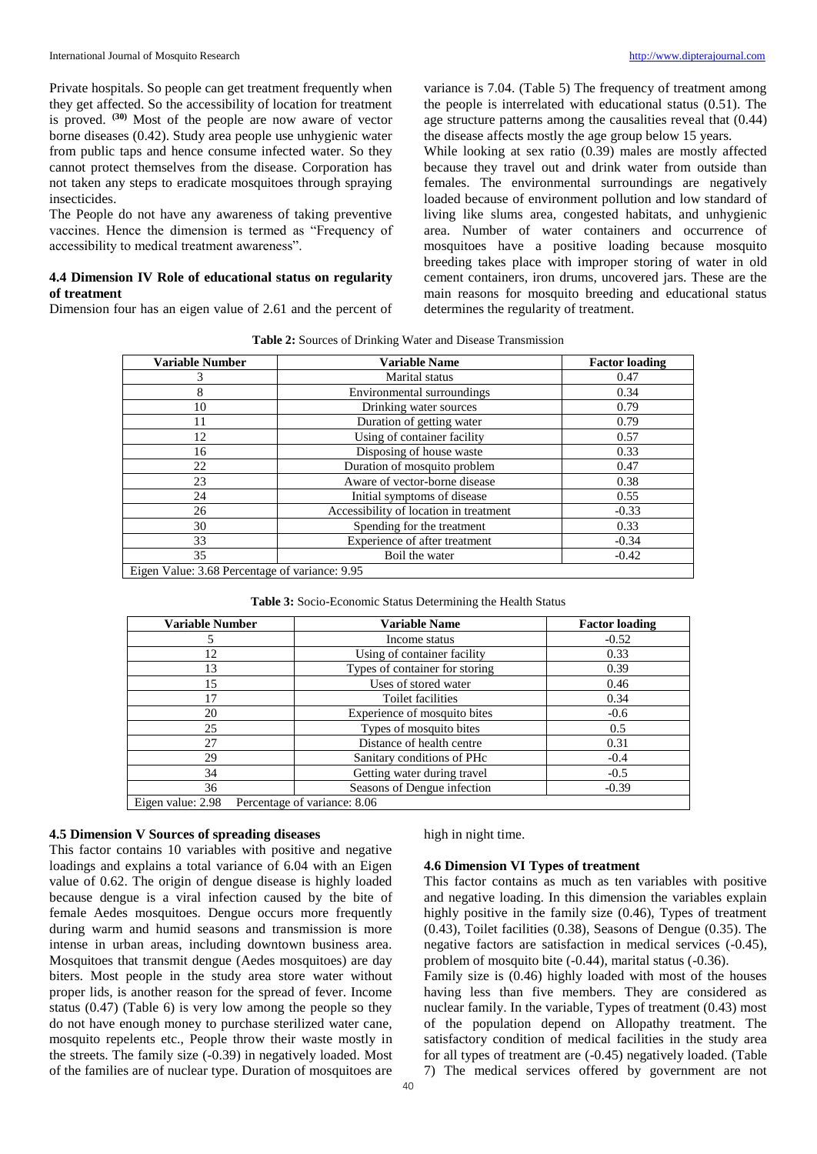Private hospitals. So people can get treatment frequently when they get affected. So the accessibility of location for treatment is proved. **(30)** Most of the people are now aware of vector borne diseases (0.42). Study area people use unhygienic water from public taps and hence consume infected water. So they cannot protect themselves from the disease. Corporation has not taken any steps to eradicate mosquitoes through spraying insecticides.

The People do not have any awareness of taking preventive vaccines. Hence the dimension is termed as "Frequency of accessibility to medical treatment awareness".

# **4.4 Dimension IV Role of educational status on regularity of treatment**

Dimension four has an eigen value of 2.61 and the percent of

variance is 7.04. (Table 5) The frequency of treatment among the people is interrelated with educational status (0.51). The age structure patterns among the causalities reveal that (0.44) the disease affects mostly the age group below 15 years.

While looking at sex ratio (0.39) males are mostly affected because they travel out and drink water from outside than females. The environmental surroundings are negatively loaded because of environment pollution and low standard of living like slums area, congested habitats, and unhygienic area. Number of water containers and occurrence of mosquitoes have a positive loading because mosquito breeding takes place with improper storing of water in old cement containers, iron drums, uncovered jars. These are the main reasons for mosquito breeding and educational status determines the regularity of treatment.

| <b>Variable Number</b> | <b>Variable Name</b>                   | <b>Factor loading</b> |
|------------------------|----------------------------------------|-----------------------|
| 3                      | Marital status                         | 0.47                  |
| 8                      | Environmental surroundings             | 0.34                  |
| 10                     | Drinking water sources                 | 0.79                  |
| 11                     | Duration of getting water              | 0.79                  |
| 12                     | Using of container facility            | 0.57                  |
| 16                     | Disposing of house waste               | 0.33                  |
| 22                     | Duration of mosquito problem           | 0.47                  |
| 23                     | Aware of vector-borne disease          | 0.38                  |
| 24                     | Initial symptoms of disease            | 0.55                  |
| 26                     | Accessibility of location in treatment | $-0.33$               |
| 30                     | Spending for the treatment             | 0.33                  |
| 33                     | Experience of after treatment          | $-0.34$               |
| 35                     | Boil the water                         | $-0.42$               |

Eigen Value: 3.68 Percentage of variance: 9.95

# **Table 3:** Socio-Economic Status Determining the Health Status

| <b>Variable Number</b> | <b>Variable Name</b>           | <b>Factor loading</b> |
|------------------------|--------------------------------|-----------------------|
|                        | Income status                  | $-0.52$               |
| 12                     | Using of container facility    | 0.33                  |
| 13                     | Types of container for storing | 0.39                  |
| 15                     | Uses of stored water           | 0.46                  |
| 17                     | Toilet facilities              | 0.34                  |
| 20                     | Experience of mosquito bites   | $-0.6$                |
| 25                     | Types of mosquito bites        | 0.5                   |
| 27                     | Distance of health centre      | 0.31                  |
| 29                     | Sanitary conditions of PHc     | $-0.4$                |
| 34                     | Getting water during travel    | $-0.5$                |
| 36                     | Seasons of Dengue infection    | $-0.39$               |
| Eigen value: 2.98      | Percentage of variance: 8.06   |                       |

## **4.5 Dimension V Sources of spreading diseases**

This factor contains 10 variables with positive and negative loadings and explains a total variance of 6.04 with an Eigen value of 0.62. The origin of dengue disease is highly loaded because dengue is a viral infection caused by the bite of female Aedes mosquitoes. Dengue occurs more frequently during warm and humid seasons and transmission is more intense in urban areas, including downtown business area. Mosquitoes that transmit dengue (Aedes mosquitoes) are day biters. Most people in the study area store water without proper lids, is another reason for the spread of fever. Income status (0.47) (Table 6) is very low among the people so they do not have enough money to purchase sterilized water cane, mosquito repelents etc., People throw their waste mostly in the streets. The family size (-0.39) in negatively loaded. Most of the families are of nuclear type. Duration of mosquitoes are

high in night time.

## **4.6 Dimension VI Types of treatment**

This factor contains as much as ten variables with positive and negative loading. In this dimension the variables explain highly positive in the family size (0.46), Types of treatment (0.43), Toilet facilities (0.38), Seasons of Dengue (0.35). The negative factors are satisfaction in medical services (-0.45), problem of mosquito bite (-0.44), marital status (-0.36).

Family size is (0.46) highly loaded with most of the houses having less than five members. They are considered as nuclear family. In the variable, Types of treatment (0.43) most of the population depend on Allopathy treatment. The satisfactory condition of medical facilities in the study area for all types of treatment are (-0.45) negatively loaded. (Table 7) The medical services offered by government are not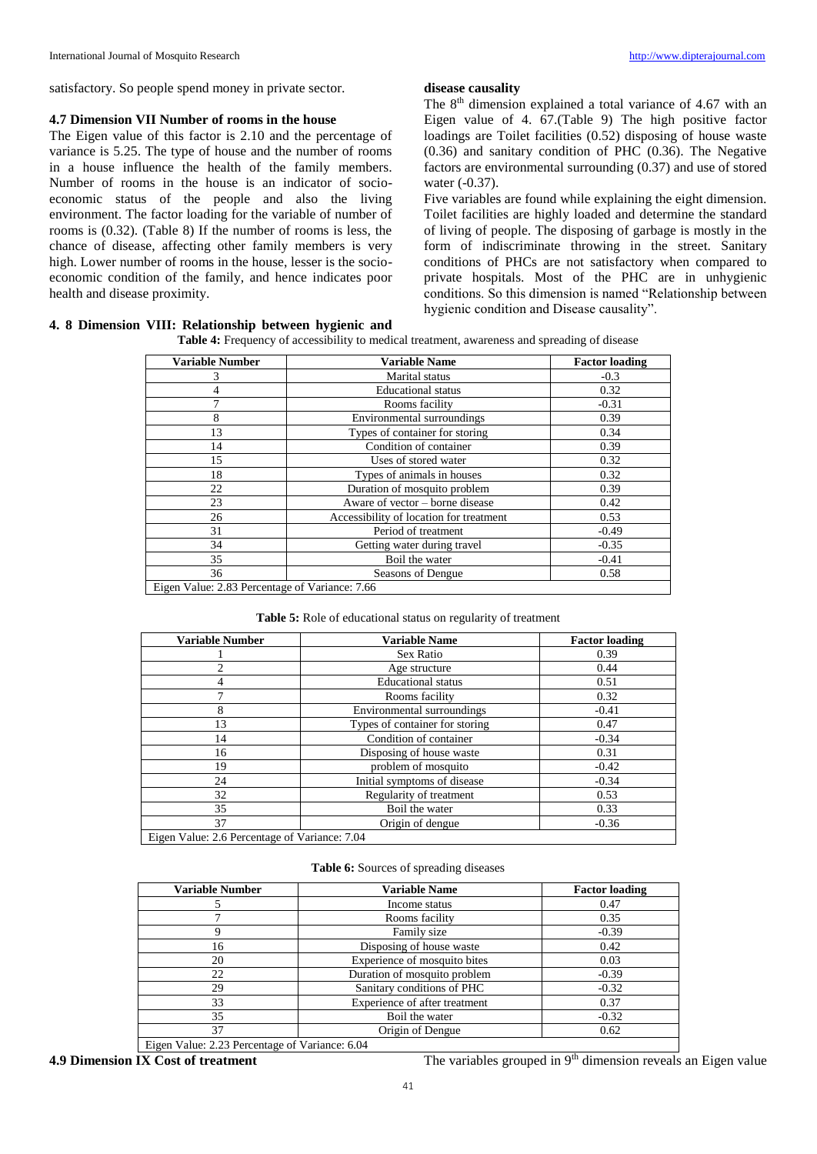satisfactory. So people spend money in private sector.

## **4.7 Dimension VII Number of rooms in the house**

The Eigen value of this factor is 2.10 and the percentage of variance is 5.25. The type of house and the number of rooms in a house influence the health of the family members. Number of rooms in the house is an indicator of socioeconomic status of the people and also the living environment. The factor loading for the variable of number of rooms is (0.32). (Table 8) If the number of rooms is less, the chance of disease, affecting other family members is very high. Lower number of rooms in the house, lesser is the socioeconomic condition of the family, and hence indicates poor health and disease proximity.

## **disease causality**

The 8<sup>th</sup> dimension explained a total variance of 4.67 with an Eigen value of 4. 67.(Table 9) The high positive factor loadings are Toilet facilities (0.52) disposing of house waste (0.36) and sanitary condition of PHC (0.36). The Negative factors are environmental surrounding (0.37) and use of stored water (-0.37).

Five variables are found while explaining the eight dimension. Toilet facilities are highly loaded and determine the standard of living of people. The disposing of garbage is mostly in the form of indiscriminate throwing in the street. Sanitary conditions of PHCs are not satisfactory when compared to private hospitals. Most of the PHC are in unhygienic conditions. So this dimension is named "Relationship between hygienic condition and Disease causality".

# **4. 8 Dimension VIII: Relationship between hygienic and**

| <b>Table 4:</b> Frequency of accessibility to medical treatment, awareness and spreading of disease |  |
|-----------------------------------------------------------------------------------------------------|--|
|                                                                                                     |  |

| Variable Number | <b>Variable Name</b>                    | <b>Factor loading</b> |
|-----------------|-----------------------------------------|-----------------------|
| 3               | Marital status                          | $-0.3$                |
| 4               | <b>Educational</b> status               | 0.32                  |
| 7               | Rooms facility                          | $-0.31$               |
| 8               | Environmental surroundings              | 0.39                  |
| 13              | Types of container for storing          | 0.34                  |
| 14              | Condition of container                  | 0.39                  |
| 15              | Uses of stored water                    | 0.32                  |
| 18              | Types of animals in houses              | 0.32                  |
| 22              | Duration of mosquito problem            | 0.39                  |
| 23              | Aware of vector – borne disease         | 0.42                  |
| 26              | Accessibility of location for treatment | 0.53                  |
| 31              | Period of treatment                     | $-0.49$               |
| 34              | Getting water during travel             | $-0.35$               |
| 35              | Boil the water                          | $-0.41$               |
| 36              | Seasons of Dengue                       | 0.58                  |

Eigen Value: 2.83 Percentage of Variance: 7.66

## **Table 5:** Role of educational status on regularity of treatment

| <b>Variable Number</b>                        | <b>Variable Name</b>           | <b>Factor loading</b> |
|-----------------------------------------------|--------------------------------|-----------------------|
|                                               | Sex Ratio                      | 0.39                  |
| C                                             | Age structure                  | 0.44                  |
| 4                                             | <b>Educational</b> status      | 0.51                  |
|                                               | Rooms facility                 | 0.32                  |
| 8                                             | Environmental surroundings     | $-0.41$               |
| 13                                            | Types of container for storing | 0.47                  |
| 14                                            | Condition of container         | $-0.34$               |
| 16                                            | Disposing of house waste       | 0.31                  |
| 19                                            | problem of mosquito            | $-0.42$               |
| 24                                            | Initial symptoms of disease    | $-0.34$               |
| 32                                            | Regularity of treatment        | 0.53                  |
| 35                                            | Boil the water                 | 0.33                  |
| 37                                            | Origin of dengue               | $-0.36$               |
| Eigen Value: 2.6 Percentage of Variance: 7.04 |                                |                       |

## **Table 6:** Sources of spreading diseases

| <b>Variable Number</b> | <b>Variable Name</b>          | <b>Factor loading</b> |
|------------------------|-------------------------------|-----------------------|
|                        | Income status                 | 0.47                  |
|                        | Rooms facility                | 0.35                  |
|                        | Family size                   | $-0.39$               |
| 16                     | Disposing of house waste      | 0.42                  |
| 20                     | Experience of mosquito bites  | 0.03                  |
| 22                     | Duration of mosquito problem  | $-0.39$               |
| 29                     | Sanitary conditions of PHC    | $-0.32$               |
| 33                     | Experience of after treatment | 0.37                  |
| 35                     | Boil the water                | $-0.32$               |
| 37                     | Origin of Dengue              | 0.62                  |

Eigen Value: 2.23 Percentage of Variance: 6.04

**4.9 Dimension IX Cost of treatment** The variables grouped in 9<sup>th</sup> dimension reveals an Eigen value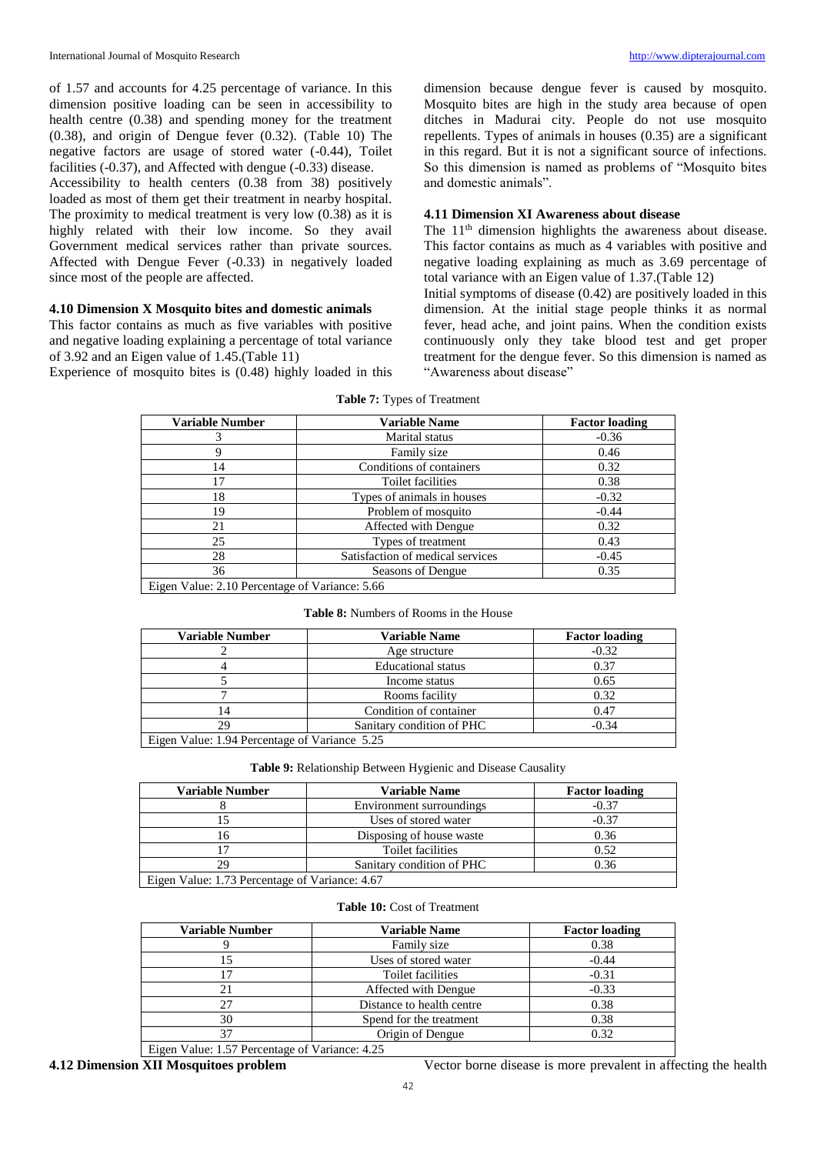of 1.57 and accounts for 4.25 percentage of variance. In this dimension positive loading can be seen in accessibility to health centre (0.38) and spending money for the treatment (0.38), and origin of Dengue fever (0.32). (Table 10) The negative factors are usage of stored water (-0.44), Toilet facilities (-0.37), and Affected with dengue (-0.33) disease.

Accessibility to health centers (0.38 from 38) positively loaded as most of them get their treatment in nearby hospital. The proximity to medical treatment is very low (0.38) as it is highly related with their low income. So they avail Government medical services rather than private sources. Affected with Dengue Fever (-0.33) in negatively loaded since most of the people are affected.

# **4.10 Dimension X Mosquito bites and domestic animals**

This factor contains as much as five variables with positive and negative loading explaining a percentage of total variance of 3.92 and an Eigen value of 1.45.(Table 11)

Experience of mosquito bites is (0.48) highly loaded in this

dimension because dengue fever is caused by mosquito. Mosquito bites are high in the study area because of open ditches in Madurai city. People do not use mosquito repellents. Types of animals in houses (0.35) are a significant in this regard. But it is not a significant source of infections. So this dimension is named as problems of "Mosquito bites and domestic animals".

# **4.11 Dimension XI Awareness about disease**

The 11<sup>th</sup> dimension highlights the awareness about disease. This factor contains as much as 4 variables with positive and negative loading explaining as much as 3.69 percentage of total variance with an Eigen value of 1.37.(Table 12)

Initial symptoms of disease (0.42) are positively loaded in this dimension. At the initial stage people thinks it as normal fever, head ache, and joint pains. When the condition exists continuously only they take blood test and get proper treatment for the dengue fever. So this dimension is named as "Awareness about disease"

| <b>Variable Number</b>                         | <b>Variable Name</b>             | <b>Factor loading</b> |  |
|------------------------------------------------|----------------------------------|-----------------------|--|
| 3                                              | Marital status                   | $-0.36$               |  |
| 9                                              | Family size                      | 0.46                  |  |
| 14                                             | Conditions of containers         | 0.32                  |  |
| 17                                             | Toilet facilities                | 0.38                  |  |
| 18                                             | Types of animals in houses       | $-0.32$               |  |
| 19                                             | Problem of mosquito              | $-0.44$               |  |
| 21                                             | Affected with Dengue             | 0.32                  |  |
| 25                                             | Types of treatment               | 0.43                  |  |
| 28                                             | Satisfaction of medical services | $-0.45$               |  |
| 36                                             | Seasons of Dengue                | 0.35                  |  |
| Eigen Value: 2.10 Percentage of Variance: 5.66 |                                  |                       |  |

**Table 7:** Types of Treatment

#### **Table 8:** Numbers of Rooms in the House

| <b>Variable Number</b>                        | <b>Variable Name</b>      | <b>Factor loading</b> |  |
|-----------------------------------------------|---------------------------|-----------------------|--|
|                                               | Age structure             | $-0.32$               |  |
|                                               | <b>Educational</b> status | 0.37                  |  |
|                                               | Income status             | 0.65                  |  |
|                                               | Rooms facility            | 0.32                  |  |
| 14                                            | Condition of container    | 0.47                  |  |
| 29                                            | Sanitary condition of PHC | $-0.34$               |  |
| Eigen Value: 1.94 Percentage of Variance 5.25 |                           |                       |  |

**Table 9:** Relationship Between Hygienic and Disease Causality

| <b>Variable Number</b>                         | <b>Variable Name</b>      | <b>Factor loading</b> |  |
|------------------------------------------------|---------------------------|-----------------------|--|
|                                                | Environment surroundings  | $-0.37$               |  |
|                                                | Uses of stored water      | $-0.37$               |  |
| 16                                             | Disposing of house waste  | 0.36                  |  |
|                                                | Toilet facilities         | 0.52                  |  |
| 29                                             | Sanitary condition of PHC | 0.36                  |  |
| Eigen Value: 1.73 Percentage of Variance: 4.67 |                           |                       |  |

#### **Table 10:** Cost of Treatment

| <b>Variable Number</b>                         | <b>Variable Name</b>      | <b>Factor loading</b> |  |
|------------------------------------------------|---------------------------|-----------------------|--|
|                                                | Family size               | 0.38                  |  |
| 15                                             | Uses of stored water      | $-0.44$               |  |
| 17                                             | Toilet facilities         | $-0.31$               |  |
| 21                                             | Affected with Dengue      | $-0.33$               |  |
| 27                                             | Distance to health centre | 0.38                  |  |
| 30                                             | Spend for the treatment   | 0.38                  |  |
| 37                                             | Origin of Dengue          | 0.32                  |  |
| Eigen Value: 1.57 Percentage of Variance: 4.25 |                           |                       |  |

**4.12 Dimension XII Mosquitoes problem** Vector borne disease is more prevalent in affecting the health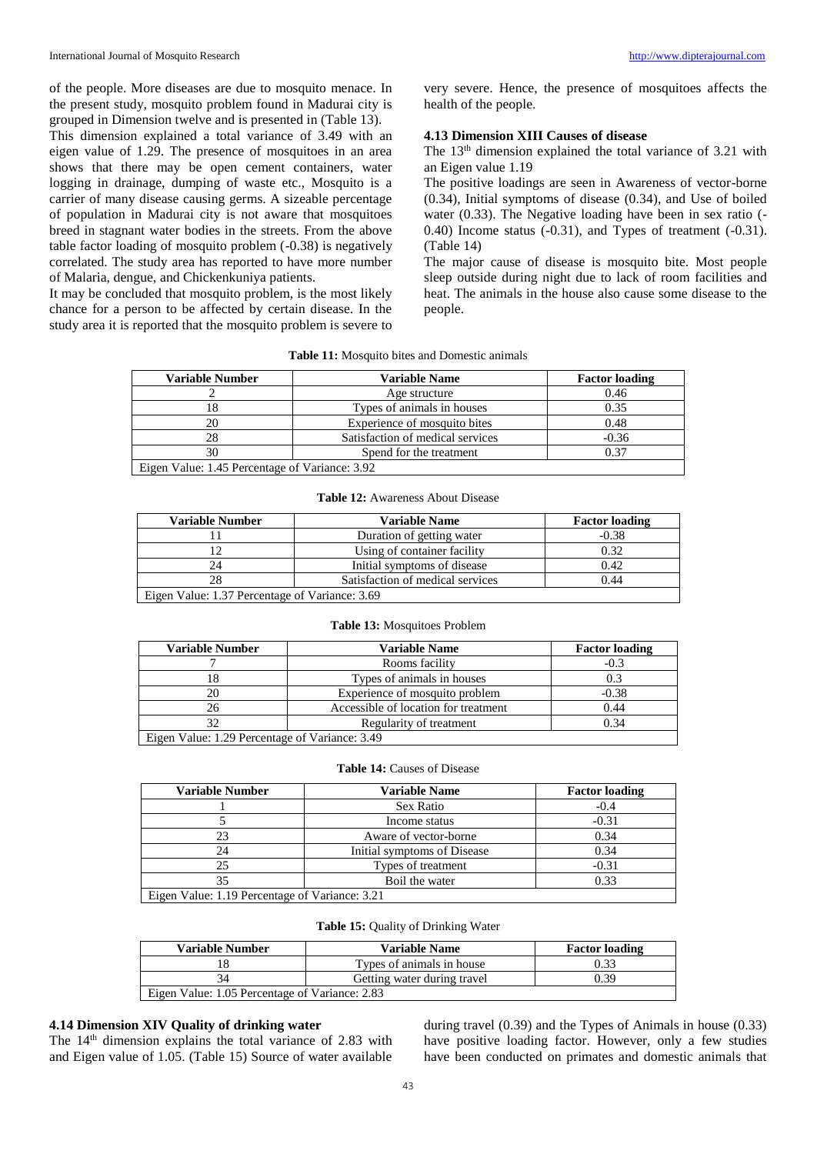of the people. More diseases are due to mosquito menace. In the present study, mosquito problem found in Madurai city is grouped in Dimension twelve and is presented in (Table 13).

This dimension explained a total variance of 3.49 with an eigen value of 1.29. The presence of mosquitoes in an area shows that there may be open cement containers, water logging in drainage, dumping of waste etc., Mosquito is a carrier of many disease causing germs. A sizeable percentage of population in Madurai city is not aware that mosquitoes breed in stagnant water bodies in the streets. From the above table factor loading of mosquito problem (-0.38) is negatively correlated. The study area has reported to have more number of Malaria, dengue, and Chickenkuniya patients.

It may be concluded that mosquito problem, is the most likely chance for a person to be affected by certain disease. In the study area it is reported that the mosquito problem is severe to very severe. Hence, the presence of mosquitoes affects the health of the people.

# **4.13 Dimension XIII Causes of disease**

The 13<sup>th</sup> dimension explained the total variance of 3.21 with an Eigen value 1.19

The positive loadings are seen in Awareness of vector-borne (0.34), Initial symptoms of disease (0.34), and Use of boiled water (0.33). The Negative loading have been in sex ratio (- 0.40) Income status (-0.31), and Types of treatment (-0.31). (Table 14)

The major cause of disease is mosquito bite. Most people sleep outside during night due to lack of room facilities and heat. The animals in the house also cause some disease to the people.

| <b>Table 11:</b> Mosquito bites and Domestic animals |  |  |  |
|------------------------------------------------------|--|--|--|
|------------------------------------------------------|--|--|--|

| Variable Number                                | <b>Variable Name</b>             | <b>Factor loading</b> |
|------------------------------------------------|----------------------------------|-----------------------|
|                                                | Age structure                    | 0.46                  |
| 18                                             | Types of animals in houses       | 0.35                  |
| 20                                             | Experience of mosquito bites     | 0.48                  |
| 28                                             | Satisfaction of medical services | $-0.36$               |
| 30                                             | Spend for the treatment          | 0.37                  |
| Eigen Value: 1.45 Percentage of Variance: 3.92 |                                  |                       |

#### **Table 12:** Awareness About Disease

| <b>Variable Number</b>                         | <b>Variable Name</b>             | <b>Factor loading</b> |
|------------------------------------------------|----------------------------------|-----------------------|
|                                                | Duration of getting water        | $-0.38$               |
|                                                | Using of container facility      | 0.32                  |
|                                                | Initial symptoms of disease      | 0.42                  |
| 28                                             | Satisfaction of medical services | 0.44                  |
| Eigen Value: 1.37 Percentage of Variance: 3.69 |                                  |                       |

#### **Table 13:** Mosquitoes Problem

| <b>Variable Number</b>                         | <b>Variable Name</b>                 | <b>Factor loading</b> |
|------------------------------------------------|--------------------------------------|-----------------------|
|                                                | Rooms facility                       | $-0.3$                |
| 18                                             | Types of animals in houses           | 0.3                   |
| 20                                             | Experience of mosquito problem       | $-0.38$               |
| 26                                             | Accessible of location for treatment | 0.44                  |
| 32                                             | Regularity of treatment              | 0.34                  |
| Eigen Value: 1.29 Percentage of Variance: 3.49 |                                      |                       |

#### **Table 14:** Causes of Disease

| <b>Variable Number</b>                         | <b>Variable Name</b>        | <b>Factor loading</b> |
|------------------------------------------------|-----------------------------|-----------------------|
|                                                | Sex Ratio                   | $-0.4$                |
|                                                | Income status               | $-0.31$               |
|                                                | Aware of vector-borne       | 0.34                  |
| 24                                             | Initial symptoms of Disease | 0.34                  |
| 25                                             | Types of treatment          | $-0.31$               |
| 35                                             | Boil the water              | 0.33                  |
| Eigen Value: 1.19 Percentage of Variance: 3.21 |                             |                       |

#### **Table 15:** Quality of Drinking Water

| <b>Variable Number</b>                         | <b>Variable Name</b>        | <b>Factor loading</b> |
|------------------------------------------------|-----------------------------|-----------------------|
|                                                | Types of animals in house   | 0.33                  |
|                                                | Getting water during travel | 0.39                  |
| Eigen Value: 1.05 Percentage of Variance: 2.83 |                             |                       |

## **4.14 Dimension XIV Quality of drinking water**

The  $14<sup>th</sup>$  dimension explains the total variance of 2.83 with and Eigen value of 1.05. (Table 15) Source of water available

during travel (0.39) and the Types of Animals in house (0.33) have positive loading factor. However, only a few studies have been conducted on primates and domestic animals that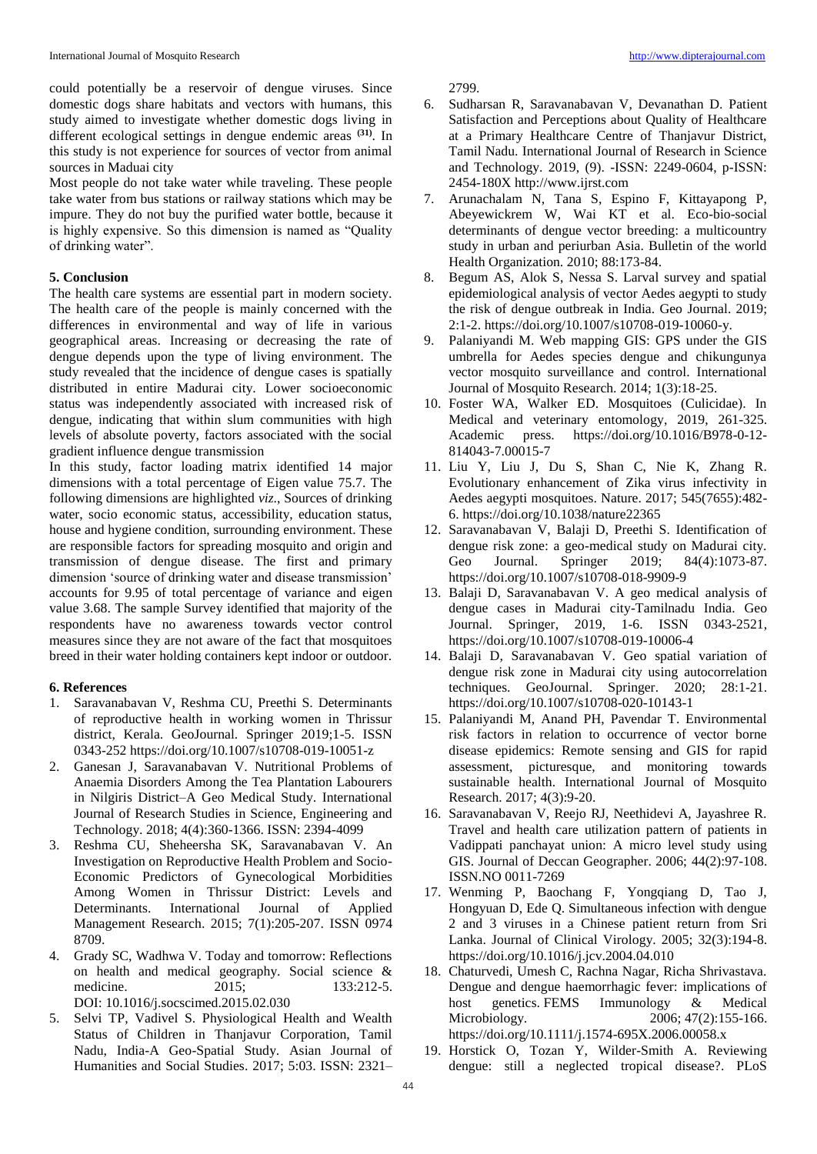could potentially be a reservoir of dengue viruses. Since domestic dogs share habitats and vectors with humans, this study aimed to investigate whether domestic dogs living in different ecological settings in dengue endemic areas **(31)** . In this study is not experience for sources of vector from animal sources in Maduai city

Most people do not take water while traveling. These people take water from bus stations or railway stations which may be impure. They do not buy the purified water bottle, because it is highly expensive. So this dimension is named as "Quality of drinking water".

## **5. Conclusion**

The health care systems are essential part in modern society. The health care of the people is mainly concerned with the differences in environmental and way of life in various geographical areas. Increasing or decreasing the rate of dengue depends upon the type of living environment. The study revealed that the incidence of dengue cases is spatially distributed in entire Madurai city. Lower socioeconomic status was independently associated with increased risk of dengue, indicating that within slum communities with high levels of absolute poverty, factors associated with the social gradient influence dengue transmission

In this study, factor loading matrix identified 14 major dimensions with a total percentage of Eigen value 75.7. The following dimensions are highlighted *viz*., Sources of drinking water, socio economic status, accessibility, education status, house and hygiene condition, surrounding environment. These are responsible factors for spreading mosquito and origin and transmission of dengue disease. The first and primary dimension 'source of drinking water and disease transmission' accounts for 9.95 of total percentage of variance and eigen value 3.68. The sample Survey identified that majority of the respondents have no awareness towards vector control measures since they are not aware of the fact that mosquitoes breed in their water holding containers kept indoor or outdoor.

## **6. References**

- 1. Saravanabavan V, Reshma CU, Preethi S. Determinants of reproductive health in working women in Thrissur district, Kerala. GeoJournal. Springer 2019;1-5. ISSN 0343-252 https://doi.org/10.1007/s10708-019-10051-z
- 2. Ganesan J, Saravanabavan V. Nutritional Problems of Anaemia Disorders Among the Tea Plantation Labourers in Nilgiris District–A Geo Medical Study. International Journal of Research Studies in Science, Engineering and Technology. 2018; 4(4):360-1366. ISSN: 2394-4099
- 3. Reshma CU, Sheheersha SK, Saravanabavan V. An Investigation on Reproductive Health Problem and Socio-Economic Predictors of Gynecological Morbidities Among Women in Thrissur District: Levels and Determinants. International Journal of Applied Management Research. 2015; 7(1):205-207. ISSN 0974 8709.
- 4. Grady SC, Wadhwa V. Today and tomorrow: Reflections on health and medical geography. Social science & medicine. 2015; 133:212-5. DOI: 10.1016/j.socscimed.2015.02.030
- 5. Selvi TP, Vadivel S. Physiological Health and Wealth Status of Children in Thanjavur Corporation, Tamil Nadu, India-A Geo-Spatial Study. Asian Journal of Humanities and Social Studies. 2017; 5:03. ISSN: 2321–

2799.

- 6. Sudharsan R, Saravanabavan V, Devanathan D. Patient Satisfaction and Perceptions about Quality of Healthcare at a Primary Healthcare Centre of Thanjavur District, Tamil Nadu. International Journal of Research in Science and Technology. 2019, (9). -ISSN: 2249-0604, p-ISSN: 2454-180X http://www.ijrst.com
- 7. Arunachalam N, Tana S, Espino F, Kittayapong P, Abeyewickrem W, Wai KT et al. Eco-bio-social determinants of dengue vector breeding: a multicountry study in urban and periurban Asia. Bulletin of the world Health Organization. 2010; 88:173-84.
- 8. Begum AS, Alok S, Nessa S. Larval survey and spatial epidemiological analysis of vector Aedes aegypti to study the risk of dengue outbreak in India. Geo Journal. 2019; 2:1-2. https://doi.org/10.1007/s10708-019-10060-y.
- 9. Palaniyandi M. Web mapping GIS: GPS under the GIS umbrella for Aedes species dengue and chikungunya vector mosquito surveillance and control. International Journal of Mosquito Research. 2014; 1(3):18-25.
- 10. Foster WA, Walker ED. Mosquitoes (Culicidae). In Medical and veterinary entomology, 2019, 261-325. Academic press. https://doi.org/10.1016/B978-0-12- 814043-7.00015-7
- 11. Liu Y, Liu J, Du S, Shan C, Nie K, Zhang R. Evolutionary enhancement of Zika virus infectivity in Aedes aegypti mosquitoes. Nature. 2017; 545(7655):482- 6. https://doi.org/10.1038/nature22365
- 12. Saravanabavan V, Balaji D, Preethi S. Identification of dengue risk zone: a geo-medical study on Madurai city. Geo Journal. Springer 2019; 84(4):1073-87. https://doi.org/10.1007/s10708-018-9909-9
- 13. Balaji D, Saravanabavan V. A geo medical analysis of dengue cases in Madurai city-Tamilnadu India. Geo Journal. Springer, 2019, 1-6. ISSN 0343-2521, https://doi.org/10.1007/s10708-019-10006-4
- 14. Balaji D, Saravanabavan V. Geo spatial variation of dengue risk zone in Madurai city using autocorrelation techniques. GeoJournal. Springer. 2020; 28:1-21. https://doi.org/10.1007/s10708-020-10143-1
- 15. Palaniyandi M, Anand PH, Pavendar T. Environmental risk factors in relation to occurrence of vector borne disease epidemics: Remote sensing and GIS for rapid assessment, picturesque, and monitoring towards sustainable health. International Journal of Mosquito Research. 2017; 4(3):9-20.
- 16. Saravanabavan V, Reejo RJ, Neethidevi A, Jayashree R. Travel and health care utilization pattern of patients in Vadippati panchayat union: A micro level study using GIS. Journal of Deccan Geographer. 2006; 44(2):97-108. ISSN.NO 0011-7269
- 17. Wenming P, Baochang F, Yongqiang D, Tao J, Hongyuan D, Ede Q. Simultaneous infection with dengue 2 and 3 viruses in a Chinese patient return from Sri Lanka. Journal of Clinical Virology. 2005; 32(3):194-8. https://doi.org/10.1016/j.jcv.2004.04.010
- 18. Chaturvedi, Umesh C, Rachna Nagar, Richa Shrivastava. Dengue and dengue haemorrhagic fever: implications of host genetics. FEMS Immunology & Medical Microbiology. 2006; 47(2):155-166. https://doi.org/10.1111/j.1574-695X.2006.00058.x
- 19. Horstick O, Tozan Y, Wilder-Smith A. Reviewing dengue: still a neglected tropical disease?. PLoS